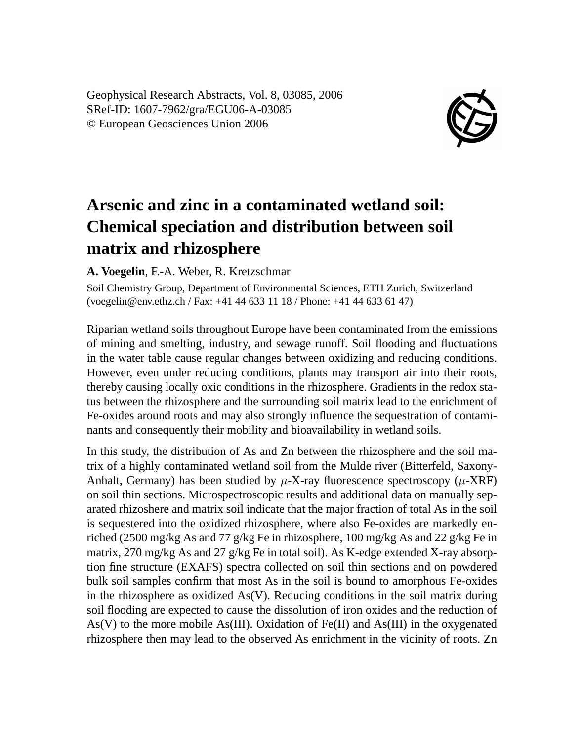Geophysical Research Abstracts, Vol. 8, 03085, 2006 SRef-ID: 1607-7962/gra/EGU06-A-03085 © European Geosciences Union 2006



## **Arsenic and zinc in a contaminated wetland soil: Chemical speciation and distribution between soil matrix and rhizosphere**

**A. Voegelin**, F.-A. Weber, R. Kretzschmar

Soil Chemistry Group, Department of Environmental Sciences, ETH Zurich, Switzerland (voegelin@env.ethz.ch / Fax: +41 44 633 11 18 / Phone: +41 44 633 61 47)

Riparian wetland soils throughout Europe have been contaminated from the emissions of mining and smelting, industry, and sewage runoff. Soil flooding and fluctuations in the water table cause regular changes between oxidizing and reducing conditions. However, even under reducing conditions, plants may transport air into their roots, thereby causing locally oxic conditions in the rhizosphere. Gradients in the redox status between the rhizosphere and the surrounding soil matrix lead to the enrichment of Fe-oxides around roots and may also strongly influence the sequestration of contaminants and consequently their mobility and bioavailability in wetland soils.

In this study, the distribution of As and Zn between the rhizosphere and the soil matrix of a highly contaminated wetland soil from the Mulde river (Bitterfeld, Saxony-Anhalt, Germany) has been studied by  $\mu$ -X-ray fluorescence spectroscopy ( $\mu$ -XRF) on soil thin sections. Microspectroscopic results and additional data on manually separated rhizoshere and matrix soil indicate that the major fraction of total As in the soil is sequestered into the oxidized rhizosphere, where also Fe-oxides are markedly enriched (2500 mg/kg As and 77 g/kg Fe in rhizosphere, 100 mg/kg As and 22 g/kg Fe in matrix, 270 mg/kg As and 27 g/kg Fe in total soil). As K-edge extended X-ray absorption fine structure (EXAFS) spectra collected on soil thin sections and on powdered bulk soil samples confirm that most As in the soil is bound to amorphous Fe-oxides in the rhizosphere as oxidized  $As(V)$ . Reducing conditions in the soil matrix during soil flooding are expected to cause the dissolution of iron oxides and the reduction of  $As(V)$  to the more mobile As(III). Oxidation of Fe(II) and As(III) in the oxygenated rhizosphere then may lead to the observed As enrichment in the vicinity of roots. Zn